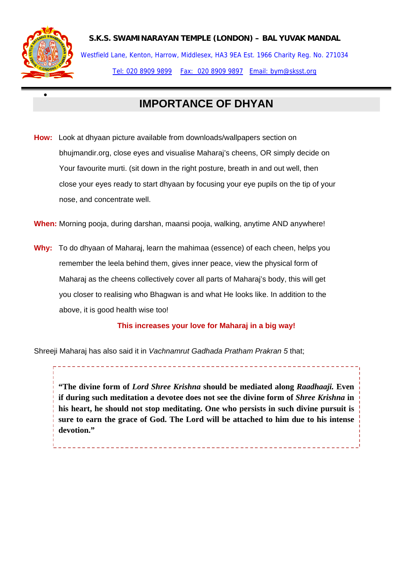

•

**S.K.S. SWAMINARAYAN TEMPLE (LONDON) – BAL YUVAK MANDAL** 

Westfield Lane, Kenton, Harrow, Middlesex, HA3 9EA Est. 1966 Charity Reg. No. 271034 Tel: 020 8909 9899 Fax: 020 8909 9897 Email: bym@sksst.org

## **IMPORTANCE OF DHYAN**

**How:** Look at dhyaan picture available from downloads/wallpapers section on bhujmandir.org, close eyes and visualise Maharaj's cheens, OR simply decide on Your favourite murti. (sit down in the right posture, breath in and out well, then close your eyes ready to start dhyaan by focusing your eye pupils on the tip of your nose, and concentrate well.

**When:** Morning pooja, during darshan, maansi pooja, walking, anytime AND anywhere!

**Why:** To do dhyaan of Maharaj, learn the mahimaa (essence) of each cheen, helps you remember the leela behind them, gives inner peace, view the physical form of Maharaj as the cheens collectively cover all parts of Maharaj's body, this will get you closer to realising who Bhagwan is and what He looks like. In addition to the above, it is good health wise too!

**This increases your love for Maharaj in a big way!** 

<u> Liberatur Libera</u>

Shreeji Maharaj has also said it in *Vachnamrut Gadhada Pratham Prakran 5* that;

*5* **if during such meditation a devotee does not see the divine form of** *Shree Krishna* **in "The divine form of** *Lord Shree Krishna* **should be mediated along** *Raadhaaji.* **Even his heart, he should not stop meditating. One who persists in such divine pursuit is sure to earn the grace of God. The Lord will be attached to him due to his intense devotion."**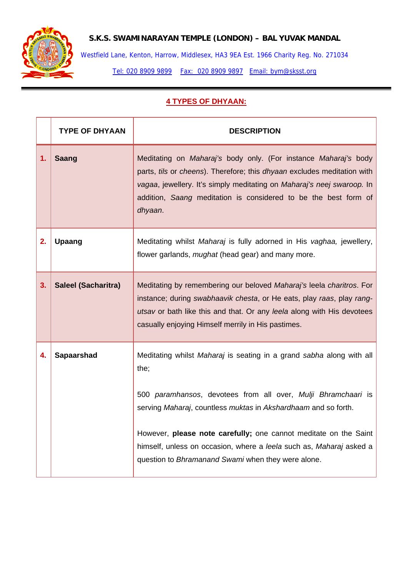

## **S.K.S. SWAMINARAYAN TEMPLE (LONDON) – BAL YUVAK MANDAL**

Westfield Lane, Kenton, Harrow, Middlesex, HA3 9EA Est. 1966 Charity Reg. No. 271034

Tel: 020 8909 9899 Fax: 020 8909 9897 Email: bym@sksst.org

## **4 TYPES OF DHYAAN:**

| <b>TYPE OF DHYAAN</b>      | <b>DESCRIPTION</b>                                                                                                                                                                                                                                                                                                                                                                                               |
|----------------------------|------------------------------------------------------------------------------------------------------------------------------------------------------------------------------------------------------------------------------------------------------------------------------------------------------------------------------------------------------------------------------------------------------------------|
| <b>Saang</b>               | Meditating on Maharaj's body only. (For instance Maharaj's body<br>parts, tils or cheens). Therefore; this dhyaan excludes meditation with<br>vagaa, jewellery. It's simply meditating on Maharaj's neej swaroop. In<br>addition, Saang meditation is considered to be the best form of<br>dhyaan.                                                                                                               |
| <b>Upaang</b>              | Meditating whilst Maharaj is fully adorned in His vaghaa, jewellery,<br>flower garlands, <i>mughat</i> (head gear) and many more.                                                                                                                                                                                                                                                                                |
| <b>Saleel (Sacharitra)</b> | Meditating by remembering our beloved Maharaj's leela charitros. For<br>instance; during swabhaavik chesta, or He eats, play raas, play rang-<br>utsav or bath like this and that. Or any leela along with His devotees<br>casually enjoying Himself merrily in His pastimes.                                                                                                                                    |
| <b>Sapaarshad</b>          | Meditating whilst Maharaj is seating in a grand sabha along with all<br>the;<br>500 paramhansos, devotees from all over, Mulji Bhramchaari is<br>serving Maharaj, countless muktas in Akshardhaam and so forth.<br>However, please note carefully; one cannot meditate on the Saint<br>himself, unless on occasion, where a leela such as, Maharaj asked a<br>question to Bhramanand Swami when they were alone. |
|                            |                                                                                                                                                                                                                                                                                                                                                                                                                  |